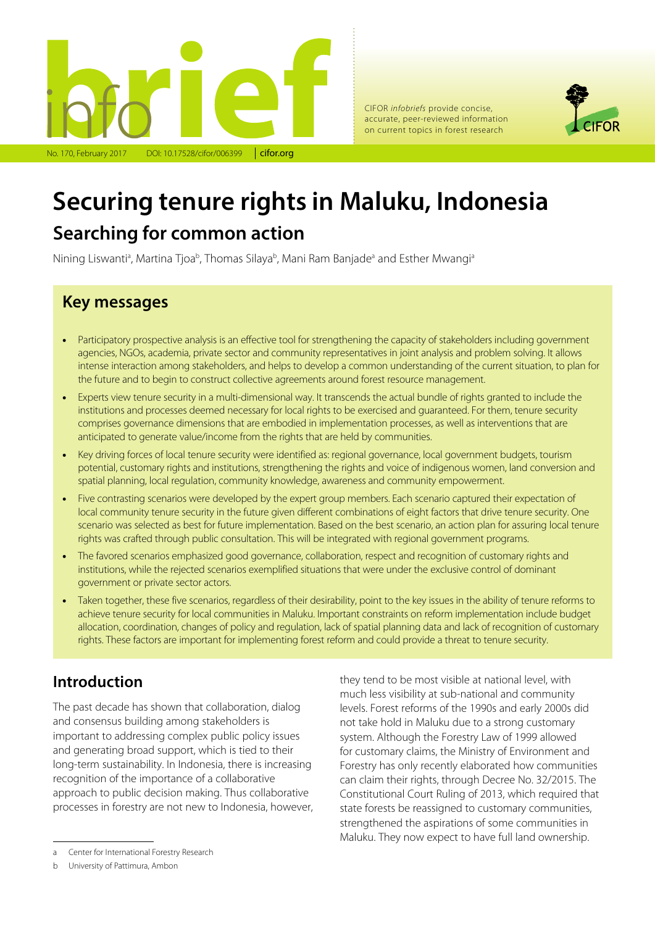

CIFOR *infobriefs* provide concise, accurate, peer-reviewed information on current topics in forest research



# **Securing tenure rights in Maluku, Indonesia**

# **Searching for common action**

Nining Liswanti<sup>a</sup>, Martina Tjoa<sup>b</sup>, Thomas Silaya<sup>b</sup>, Mani Ram Banjade<sup>a</sup> and Esther Mwangi<sup>a</sup>

# **Key messages**

- Participatory prospective analysis is an effective tool for strengthening the capacity of stakeholders including government agencies, NGOs, academia, private sector and community representatives in joint analysis and problem solving. It allows intense interaction among stakeholders, and helps to develop a common understanding of the current situation, to plan for the future and to begin to construct collective agreements around forest resource management.
- Experts view tenure security in a multi-dimensional way. It transcends the actual bundle of rights granted to include the institutions and processes deemed necessary for local rights to be exercised and quaranteed. For them, tenure security comprises governance dimensions that are embodied in implementation processes, as well as interventions that are anticipated to generate value/income from the rights that are held by communities.
- Key driving forces of local tenure security were identified as: regional governance, local government budgets, tourism potential, customary rights and institutions, strengthening the rights and voice of indigenous women, land conversion and spatial planning, local regulation, community knowledge, awareness and community empowerment.
- Five contrasting scenarios were developed by the expert group members. Each scenario captured their expectation of local community tenure security in the future given different combinations of eight factors that drive tenure security. One scenario was selected as best for future implementation. Based on the best scenario, an action plan for assuring local tenure rights was crafted through public consultation. This will be integrated with regional government programs.
- The favored scenarios emphasized good governance, collaboration, respect and recognition of customary rights and institutions, while the rejected scenarios exemplified situations that were under the exclusive control of dominant government or private sector actors.
- Taken together, these five scenarios, regardless of their desirability, point to the key issues in the ability of tenure reforms to achieve tenure security for local communities in Maluku. Important constraints on reform implementation include budget allocation, coordination, changes of policy and regulation, lack of spatial planning data and lack of recognition of customary rights. These factors are important for implementing forest reform and could provide a threat to tenure security.

# **Introduction**

The past decade has shown that collaboration, dialog and consensus building among stakeholders is important to addressing complex public policy issues and generating broad support, which is tied to their long-term sustainability. In Indonesia, there is increasing recognition of the importance of a collaborative approach to public decision making. Thus collaborative processes in forestry are not new to Indonesia, however,

they tend to be most visible at national level, with much less visibility at sub-national and community levels. Forest reforms of the 1990s and early 2000s did not take hold in Maluku due to a strong customary system. Although the Forestry Law of 1999 allowed for customary claims, the Ministry of Environment and Forestry has only recently elaborated how communities can claim their rights, through Decree No. 32/2015. The Constitutional Court Ruling of 2013, which required that state forests be reassigned to customary communities, strengthened the aspirations of some communities in Maluku. They now expect to have full land ownership.

a Center for International Forestry Research

b University of Pattimura, Ambon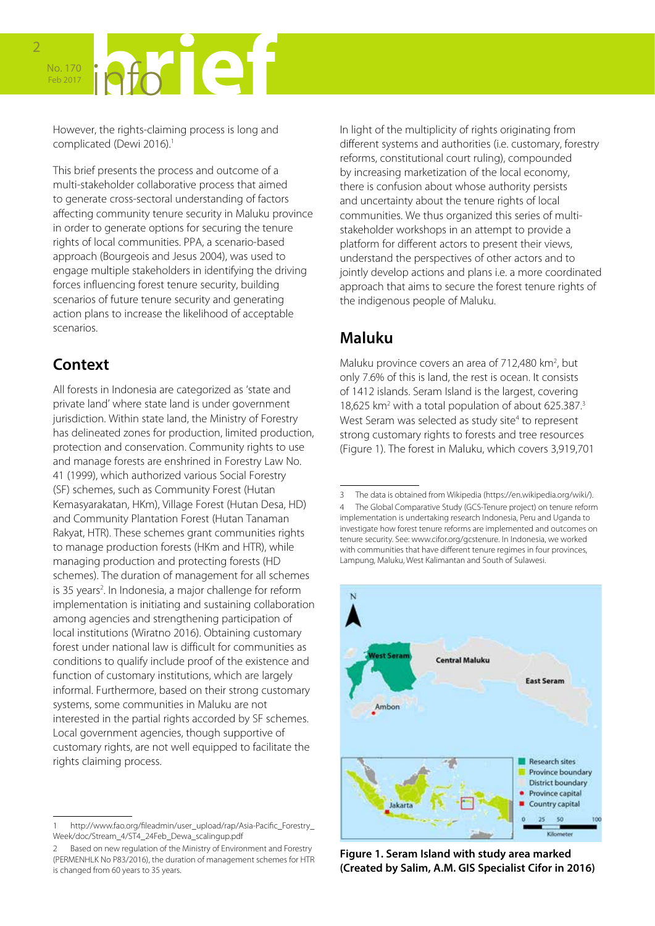# No. 170 Feb 2017

However, the rights-claiming process is long and complicated (Dewi 2016).<sup>1</sup>

This brief presents the process and outcome of a multi-stakeholder collaborative process that aimed to generate cross-sectoral understanding of factors affecting community tenure security in Maluku province in order to generate options for securing the tenure rights of local communities. PPA, a scenario-based approach (Bourgeois and Jesus 2004), was used to engage multiple stakeholders in identifying the driving forces influencing forest tenure security, building scenarios of future tenure security and generating action plans to increase the likelihood of acceptable scenarios.

# **Context**

All forests in Indonesia are categorized as 'state and private land' where state land is under government jurisdiction. Within state land, the Ministry of Forestry has delineated zones for production, limited production, protection and conservation. Community rights to use and manage forests are enshrined in Forestry Law No. 41 (1999), which authorized various Social Forestry (SF) schemes, such as Community Forest (Hutan Kemasyarakatan, HKm), Village Forest (Hutan Desa, HD) and Community Plantation Forest (Hutan Tanaman Rakyat, HTR). These schemes grant communities rights to manage production forests (HKm and HTR), while managing production and protecting forests (HD schemes). The duration of management for all schemes is 35 years<sup>2</sup>. In Indonesia, a major challenge for reform implementation is initiating and sustaining collaboration among agencies and strengthening participation of local institutions (Wiratno 2016). Obtaining customary forest under national law is difficult for communities as conditions to qualify include proof of the existence and function of customary institutions, which are largely informal. Furthermore, based on their strong customary systems, some communities in Maluku are not interested in the partial rights accorded by SF schemes. Local government agencies, though supportive of customary rights, are not well equipped to facilitate the rights claiming process.

In light of the multiplicity of rights originating from different systems and authorities (i.e. customary, forestry reforms, constitutional court ruling), compounded by increasing marketization of the local economy, there is confusion about whose authority persists and uncertainty about the tenure rights of local communities. We thus organized this series of multistakeholder workshops in an attempt to provide a platform for different actors to present their views, understand the perspectives of other actors and to jointly develop actions and plans i.e. a more coordinated approach that aims to secure the forest tenure rights of the indigenous people of Maluku.

# **Maluku**

Maluku province covers an area of 712,480 km<sup>2</sup>, but only 7.6% of this is land, the rest is ocean. It consists of 1412 islands. Seram Island is the largest, covering 18,625 km<sup>2</sup> with a total population of about 625.387.<sup>3</sup> West Seram was selected as study site<sup>4</sup> to represent strong customary rights to forests and tree resources (Figure 1). The forest in Maluku, which covers 3,919,701

<sup>3</sup> The data is obtained from Wikipedia (<https://en.wikipedia.org/wiki/>). 4 The Global Comparative Study (GCS-Tenure project) on tenure reform implementation is undertaking research Indonesia, Peru and Uganda to investigate how forest tenure reforms are implemented and outcomes on tenure security. See: [www.cifor.org/gcstenure](http://www.cifor.org/gcstenure). In Indonesia, we worked with communities that have different tenure regimes in four provinces, Lampung, Maluku, West Kalimantan and South of Sulawesi.



**Figure 1. Seram Island with study area marked (Created by Salim, A.M. GIS Specialist Cifor in 2016)**

<sup>1</sup> [http://www.fao.org/fileadmin/user\\_upload/rap/Asia-Pacific\\_Forestry\\_](http://www.fao.org/fileadmin/user_upload/rap/Asia-Pacific_Forestry_Week/doc/Stream_4/ST4_24Feb_Dewa_scalingup.pdf) [Week/doc/Stream\\_4/ST4\\_24Feb\\_Dewa\\_scalingup.pdf](http://www.fao.org/fileadmin/user_upload/rap/Asia-Pacific_Forestry_Week/doc/Stream_4/ST4_24Feb_Dewa_scalingup.pdf)

Based on new regulation of the Ministry of Environment and Forestry (PERMENHLK No P83/2016), the duration of management schemes for HTR is changed from 60 years to 35 years.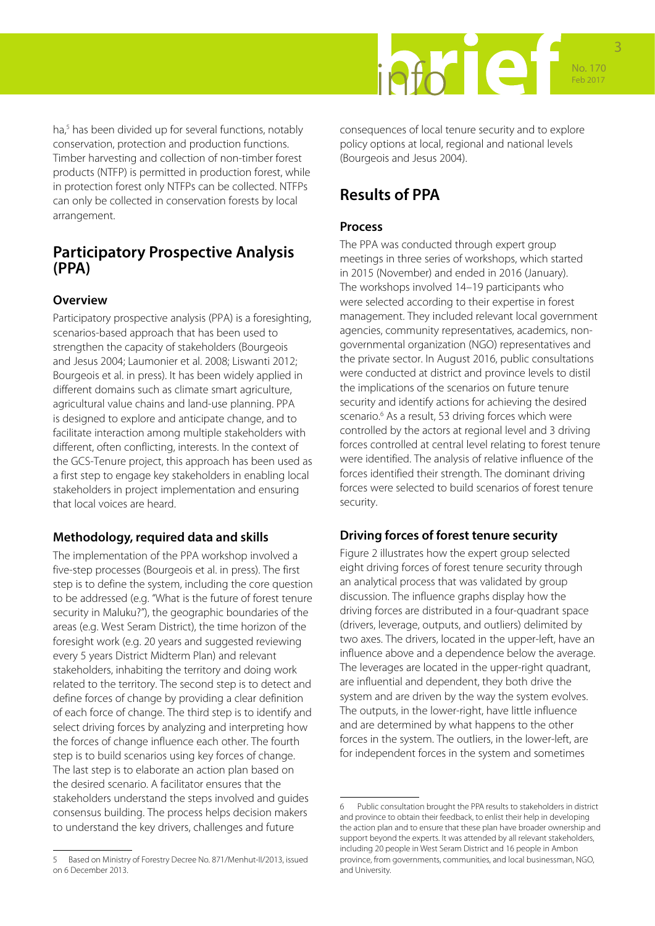

ha,<sup>5</sup> has been divided up for several functions, notably conservation, protection and production functions. Timber harvesting and collection of non-timber forest products (NTFP) is permitted in production forest, while in protection forest only NTFPs can be collected. NTFPs can only be collected in conservation forests by local arrangement.

### **Participatory Prospective Analysis (PPA)**

### **Overview**

Participatory prospective analysis (PPA) is a foresighting, scenarios-based approach that has been used to strengthen the capacity of stakeholders (Bourgeois and Jesus 2004; Laumonier et al. 2008; Liswanti 2012; Bourgeois et al. in press). It has been widely applied in different domains such as climate smart agriculture, agricultural value chains and land-use planning. PPA is designed to explore and anticipate change, and to facilitate interaction among multiple stakeholders with different, often conflicting, interests. In the context of the GCS-Tenure project, this approach has been used as a first step to engage key stakeholders in enabling local stakeholders in project implementation and ensuring that local voices are heard.

### **Methodology, required data and skills**

The implementation of the PPA workshop involved a five-step processes (Bourgeois et al. in press). The first step is to define the system, including the core question to be addressed (e.g. "What is the future of forest tenure security in Maluku?"), the geographic boundaries of the areas (e.g. West Seram District), the time horizon of the foresight work (e.g. 20 years and suggested reviewing every 5 years District Midterm Plan) and relevant stakeholders, inhabiting the territory and doing work related to the territory. The second step is to detect and define forces of change by providing a clear definition of each force of change. The third step is to identify and select driving forces by analyzing and interpreting how the forces of change influence each other. The fourth step is to build scenarios using key forces of change. The last step is to elaborate an action plan based on the desired scenario. A facilitator ensures that the stakeholders understand the steps involved and guides consensus building. The process helps decision makers to understand the key drivers, challenges and future

5 Based on Ministry of Forestry Decree No. 871/Menhut-II/2013, issued on 6 December 2013.

consequences of local tenure security and to explore policy options at local, regional and national levels (Bourgeois and Jesus 2004).

# **Results of PPA**

### **Process**

The PPA was conducted through expert group meetings in three series of workshops, which started in 2015 (November) and ended in 2016 (January). The workshops involved 14–19 participants who were selected according to their expertise in forest management. They included relevant local government agencies, community representatives, academics, nongovernmental organization (NGO) representatives and the private sector. In August 2016, public consultations were conducted at district and province levels to distil the implications of the scenarios on future tenure security and identify actions for achieving the desired scenario.<sup>6</sup> As a result, 53 driving forces which were controlled by the actors at regional level and 3 driving forces controlled at central level relating to forest tenure were identified. The analysis of relative influence of the forces identified their strength. The dominant driving forces were selected to build scenarios of forest tenure security.

### **Driving forces of forest tenure security**

Figure 2 illustrates how the expert group selected eight driving forces of forest tenure security through an analytical process that was validated by group discussion. The influence graphs display how the driving forces are distributed in a four-quadrant space (drivers, leverage, outputs, and outliers) delimited by two axes. The drivers, located in the upper-left, have an influence above and a dependence below the average. The leverages are located in the upper-right quadrant, are influential and dependent, they both drive the system and are driven by the way the system evolves. The outputs, in the lower-right, have little influence and are determined by what happens to the other forces in the system. The outliers, in the lower-left, are for independent forces in the system and sometimes

<sup>6</sup> Public consultation brought the PPA results to stakeholders in district and province to obtain their feedback, to enlist their help in developing the action plan and to ensure that these plan have broader ownership and support beyond the experts. It was attended by all relevant stakeholders, including 20 people in West Seram District and 16 people in Ambon province, from governments, communities, and local businessman, NGO, and University.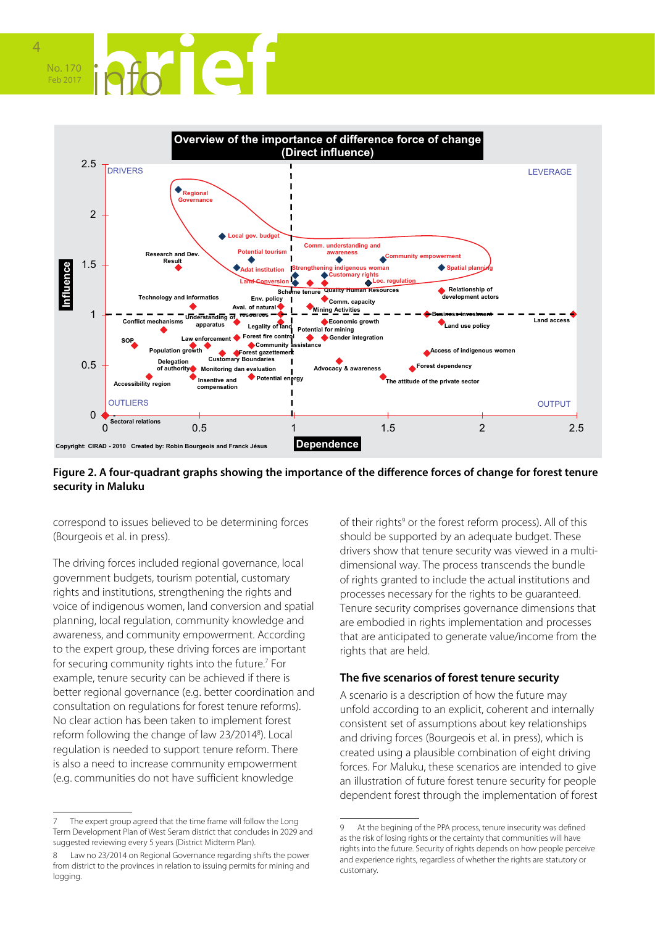



### **Figure 2. A four-quadrant graphs showing the importance of the difference forces of change for forest tenure security in Maluku**

correspond to issues believed to be determining forces (Bourgeois et al. in press).

The driving forces included regional governance, local government budgets, tourism potential, customary rights and institutions, strengthening the rights and voice of indigenous women, land conversion and spatial planning, local regulation, community knowledge and awareness, and community empowerment. According to the expert group, these driving forces are important for securing community rights into the future.<sup>7</sup> For example, tenure security can be achieved if there is better regional governance (e.g. better coordination and consultation on regulations for forest tenure reforms). No clear action has been taken to implement forest reform following the change of law 23/2014<sup>8</sup>). Local regulation is needed to support tenure reform. There is also a need to increase community empowerment (e.g. communities do not have sufficient knowledge

of their rights<sup>9</sup> or the forest reform process). All of this should be supported by an adequate budget. These drivers show that tenure security was viewed in a multidimensional way. The process transcends the bundle of rights granted to include the actual institutions and processes necessary for the rights to be guaranteed. Tenure security comprises governance dimensions that are embodied in rights implementation and processes that are anticipated to generate value/income from the rights that are held.

### **The five scenarios of forest tenure security**

A scenario is a description of how the future may unfold according to an explicit, coherent and internally consistent set of assumptions about key relationships and driving forces (Bourgeois et al. in press), which is created using a plausible combination of eight driving forces. For Maluku, these scenarios are intended to give an illustration of future forest tenure security for people dependent forest through the implementation of forest

The expert group agreed that the time frame will follow the Long Term Development Plan of West Seram district that concludes in 2029 and suggested reviewing every 5 years (District Midterm Plan).

<sup>8</sup> Law no 23/2014 on Regional Governance regarding shifts the power from district to the provinces in relation to issuing permits for mining and logging.

<sup>9</sup> At the begining of the PPA process, tenure insecurity was defined as the risk of losing rights or the certainty that communities will have rights into the future. Security of rights depends on how people perceive and experience rights, regardless of whether the rights are statutory or customary.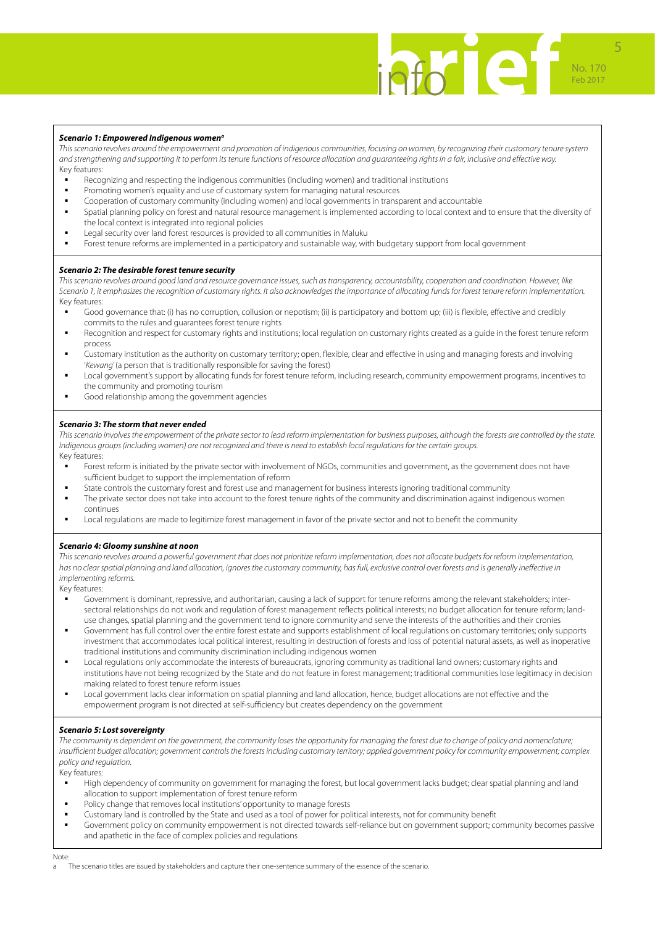

#### *Scenario 1: Empowered Indigenous womena*

*This scenario revolves around the empowerment and promotion of indigenous communities, focusing on women, by recognizing their customary tenure system and strengthening and supporting it to perform its tenure functions of resource allocation and guaranteeing rights in a fair, inclusive and effective way.*  Key features:

- Recognizing and respecting the indigenous communities (including women) and traditional institutions
- Promoting women's equality and use of customary system for managing natural resources
- Cooperation of customary community (including women) and local governments in transparent and accountable
- Spatial planning policy on forest and natural resource management is implemented according to local context and to ensure that the diversity of the local context is integrated into regional policies
- Legal security over land forest resources is provided to all communities in Maluku
- Forest tenure reforms are implemented in a participatory and sustainable way, with budgetary support from local government

#### *Scenario 2: The desirable forest tenure security*

This scenario revolves around good land and resource governance issues, such as transparency, accountability, cooperation and coordination. However, like *Scenario 1, it emphasizes the recognition of customary rights. It also acknowledges the importance of allocating funds for forest tenure reform implementation.*  Key features:

- Good governance that: (i) has no corruption, collusion or nepotism; (ii) is participatory and bottom up; (iii) is flexible, effective and credibly commits to the rules and guarantees forest tenure rights
- Recognition and respect for customary rights and institutions; local regulation on customary rights created as a guide in the forest tenure reform process
- Customary institution as the authority on customary territory; open, flexible, clear and effective in using and managing forests and involving '*Kewang*' (a person that is traditionally responsible for saving the forest)
- Local government's support by allocating funds for forest tenure reform, including research, community empowerment programs, incentives to the community and promoting tourism
- Good relationship among the government agencies

#### *Scenario 3: The storm that never ended*

*This scenario involves the empowerment of the private sector to lead reform implementation for business purposes, although the forests are controlled by the state. Indigenous groups (including women) are not recognized and there is need to establish local regulations for the certain groups.*  Key features:

- Forest reform is initiated by the private sector with involvement of NGOs, communities and government, as the government does not have sufficient budget to support the implementation of reform
- State controls the customary forest and forest use and management for business interests ignoring traditional community
- The private sector does not take into account to the forest tenure rights of the community and discrimination against indigenous women continues
- **•** Local regulations are made to legitimize forest management in favor of the private sector and not to benefit the community

#### *Scenario 4: Gloomy sunshine at noon*

This scenario revolves around a powerful government that does not prioritize reform implementation, does not allocate budgets for reform implementation, has no clear spatial planning and land allocation, ignores the customary community, has full, exclusive control over forests and is generally ineffective in *implementing reforms.* 

Key features:

- Government is dominant, repressive, and authoritarian, causing a lack of support for tenure reforms among the relevant stakeholders; intersectoral relationships do not work and regulation of forest management reflects political interests; no budget allocation for tenure reform; landuse changes, spatial planning and the government tend to ignore community and serve the interests of the authorities and their cronies
- Government has full control over the entire forest estate and supports establishment of local regulations on customary territories; only supports investment that accommodates local political interest, resulting in destruction of forests and loss of potential natural assets, as well as inoperative traditional institutions and community discrimination including indigenous women
- **-** Local regulations only accommodate the interests of bureaucrats, ignoring community as traditional land owners; customary rights and institutions have not being recognized by the State and do not feature in forest management; traditional communities lose legitimacy in decision making related to forest tenure reform issues
- Local government lacks clear information on spatial planning and land allocation, hence, budget allocations are not effective and the empowerment program is not directed at self-sufficiency but creates dependency on the government

#### *Scenario 5: Lost sovereignty*

*The community is dependent on the government, the community loses the opportunity for managing the forest due to change of policy and nomenclature; insufficient budget allocation; government controls the forests including customary territory; applied government policy for community empowerment; complex policy and regulation.*

Key features:

- High dependency of community on government for managing the forest, but local government lacks budget; clear spatial planning and land allocation to support implementation of forest tenure reform
- **Policy change that removes local institutions' opportunity to manage forests**
- Customary land is controlled by the State and used as a tool of power for political interests, not for community benefit
- Government policy on community empowerment is not directed towards self-reliance but on government support; community becomes passive and apathetic in the face of complex policies and regulations
- Note:
	- The scenario titles are issued by stakeholders and capture their one-sentence summary of the essence of the scenario.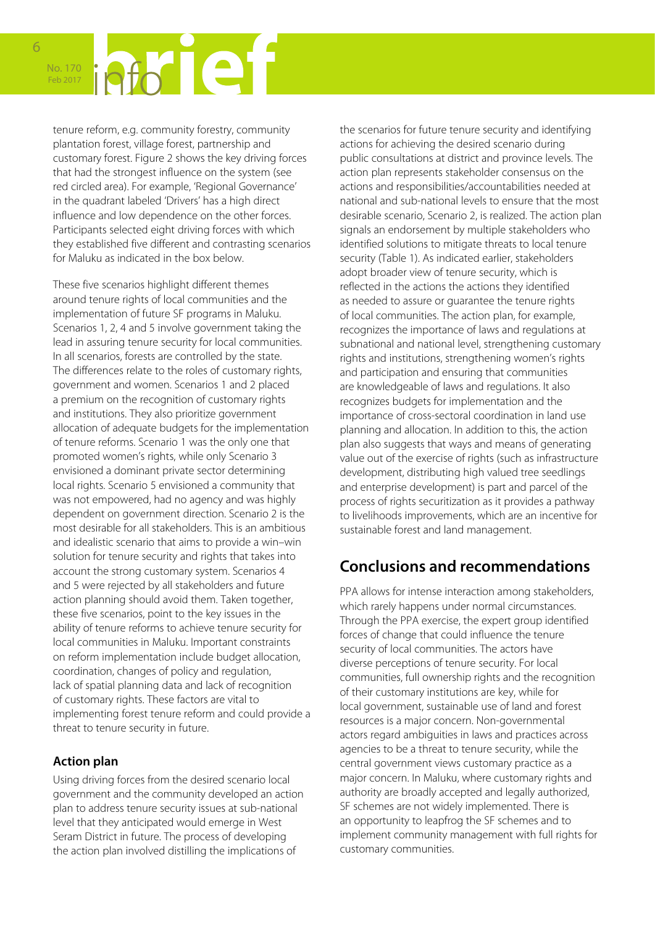

tenure reform, e.g. community forestry, community plantation forest, village forest, partnership and customary forest. Figure 2 shows the key driving forces that had the strongest influence on the system (see red circled area). For example, 'Regional Governance' in the quadrant labeled 'Drivers' has a high direct influence and low dependence on the other forces. Participants selected eight driving forces with which they established five different and contrasting scenarios for Maluku as indicated in the box below.

These five scenarios highlight different themes around tenure rights of local communities and the implementation of future SF programs in Maluku. Scenarios 1, 2, 4 and 5 involve government taking the lead in assuring tenure security for local communities. In all scenarios, forests are controlled by the state. The differences relate to the roles of customary rights, government and women. Scenarios 1 and 2 placed a premium on the recognition of customary rights and institutions. They also prioritize government allocation of adequate budgets for the implementation of tenure reforms. Scenario 1 was the only one that promoted women's rights, while only Scenario 3 envisioned a dominant private sector determining local rights. Scenario 5 envisioned a community that was not empowered, had no agency and was highly dependent on government direction. Scenario 2 is the most desirable for all stakeholders. This is an ambitious and idealistic scenario that aims to provide a win–win solution for tenure security and rights that takes into account the strong customary system. Scenarios 4 and 5 were rejected by all stakeholders and future action planning should avoid them. Taken together, these five scenarios, point to the key issues in the ability of tenure reforms to achieve tenure security for local communities in Maluku. Important constraints on reform implementation include budget allocation, coordination, changes of policy and regulation, lack of spatial planning data and lack of recognition of customary rights. These factors are vital to implementing forest tenure reform and could provide a threat to tenure security in future.

### **Action plan**

Using driving forces from the desired scenario local government and the community developed an action plan to address tenure security issues at sub-national level that they anticipated would emerge in West Seram District in future. The process of developing the action plan involved distilling the implications of

the scenarios for future tenure security and identifying actions for achieving the desired scenario during public consultations at district and province levels. The action plan represents stakeholder consensus on the actions and responsibilities/accountabilities needed at national and sub-national levels to ensure that the most desirable scenario, Scenario 2, is realized. The action plan signals an endorsement by multiple stakeholders who identified solutions to mitigate threats to local tenure security (Table 1). As indicated earlier, stakeholders adopt broader view of tenure security, which is reflected in the actions the actions they identified as needed to assure or guarantee the tenure rights of local communities. The action plan, for example, recognizes the importance of laws and regulations at subnational and national level, strengthening customary rights and institutions, strengthening women's rights and participation and ensuring that communities are knowledgeable of laws and regulations. It also recognizes budgets for implementation and the importance of cross-sectoral coordination in land use planning and allocation. In addition to this, the action plan also suggests that ways and means of generating value out of the exercise of rights (such as infrastructure development, distributing high valued tree seedlings and enterprise development) is part and parcel of the process of rights securitization as it provides a pathway to livelihoods improvements, which are an incentive for sustainable forest and land management.

# **Conclusions and recommendations**

PPA allows for intense interaction among stakeholders, which rarely happens under normal circumstances. Through the PPA exercise, the expert group identified forces of change that could influence the tenure security of local communities. The actors have diverse perceptions of tenure security. For local communities, full ownership rights and the recognition of their customary institutions are key, while for local government, sustainable use of land and forest resources is a major concern. Non-governmental actors regard ambiguities in laws and practices across agencies to be a threat to tenure security, while the central government views customary practice as a major concern. In Maluku, where customary rights and authority are broadly accepted and legally authorized, SF schemes are not widely implemented. There is an opportunity to leapfrog the SF schemes and to implement community management with full rights for customary communities.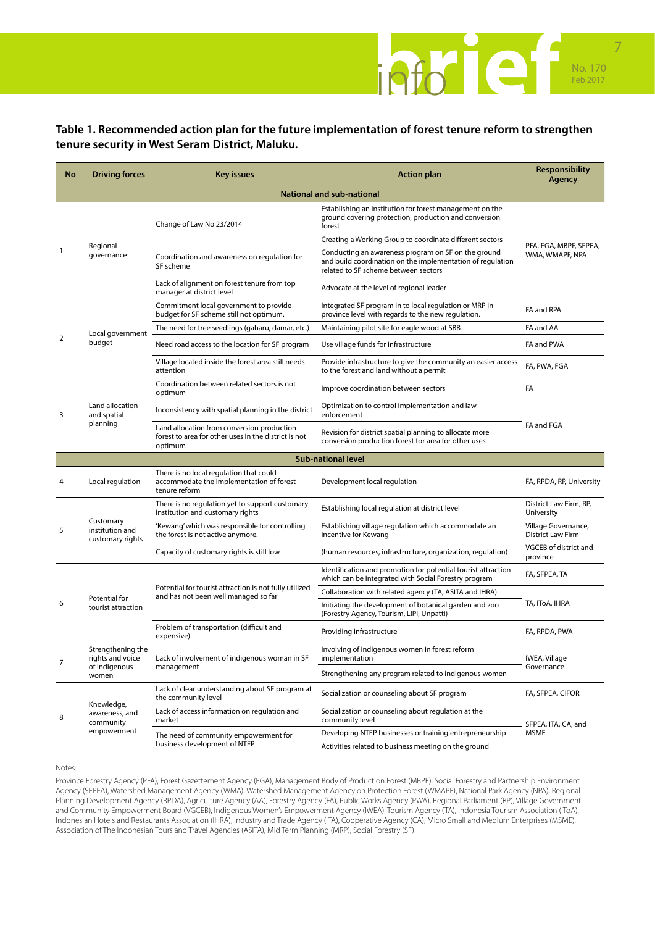

### **Table 1. Recommended action plan for the future implementation of forest tenure reform to strengthen tenure security in West Seram District, Maluku.**

| No                               | <b>Driving forces</b>                                           | <b>Key issues</b>                                                                                             | <b>Action plan</b>                                                                                                                                        | Responsibility<br>Agency                  |  |
|----------------------------------|-----------------------------------------------------------------|---------------------------------------------------------------------------------------------------------------|-----------------------------------------------------------------------------------------------------------------------------------------------------------|-------------------------------------------|--|
| <b>National and sub-national</b> |                                                                 |                                                                                                               |                                                                                                                                                           |                                           |  |
| 1                                | Regional<br>governance                                          | Change of Law No 23/2014                                                                                      | Establishing an institution for forest management on the<br>ground covering protection, production and conversion<br>forest                               | PFA, FGA, MBPF, SFPEA,<br>WMA, WMAPF, NPA |  |
|                                  |                                                                 |                                                                                                               | Creating a Working Group to coordinate different sectors                                                                                                  |                                           |  |
|                                  |                                                                 | Coordination and awareness on regulation for<br>SF scheme                                                     | Conducting an awareness program on SF on the ground<br>and build coordination on the implementation of regulation<br>related to SF scheme between sectors |                                           |  |
|                                  |                                                                 | Lack of alignment on forest tenure from top<br>manager at district level                                      | Advocate at the level of regional leader                                                                                                                  |                                           |  |
| $\overline{2}$                   | Local government<br>budget                                      | Commitment local government to provide<br>budget for SF scheme still not optimum.                             | Integrated SF program in to local regulation or MRP in<br>province level with regards to the new regulation.                                              | FA and RPA                                |  |
|                                  |                                                                 | The need for tree seedlings (gaharu, damar, etc.)                                                             | Maintaining pilot site for eagle wood at SBB                                                                                                              | FA and AA                                 |  |
|                                  |                                                                 | Need road access to the location for SF program                                                               | Use village funds for infrastructure                                                                                                                      | FA and PWA                                |  |
|                                  |                                                                 | Village located inside the forest area still needs<br>attention                                               | Provide infrastructure to give the community an easier access<br>to the forest and land without a permit                                                  | FA, PWA, FGA                              |  |
| 3                                | Land allocation<br>and spatial<br>planning                      | Coordination between related sectors is not<br>optimum                                                        | Improve coordination between sectors                                                                                                                      | FA                                        |  |
|                                  |                                                                 | Inconsistency with spatial planning in the district                                                           | Optimization to control implementation and law<br>enforcement                                                                                             | FA and FGA                                |  |
|                                  |                                                                 | Land allocation from conversion production<br>forest to area for other uses in the district is not<br>optimum | Revision for district spatial planning to allocate more<br>conversion production forest tor area for other uses                                           |                                           |  |
|                                  | <b>Sub-national level</b>                                       |                                                                                                               |                                                                                                                                                           |                                           |  |
|                                  | Local regulation                                                | There is no local regulation that could<br>accommodate the implementation of forest<br>tenure reform          | Development local regulation                                                                                                                              | FA, RPDA, RP, University                  |  |
| 5                                | Customary<br>institution and<br>customary rights                | There is no regulation yet to support customary<br>institution and customary rights                           | Establishing local regulation at district level                                                                                                           | District Law Firm, RP,<br>University      |  |
|                                  |                                                                 | 'Kewang' which was responsible for controlling<br>the forest is not active anymore.                           | Establishing village regulation which accommodate an<br>incentive for Kewang                                                                              | Village Governance,<br>District Law Firm  |  |
|                                  |                                                                 | Capacity of customary rights is still low                                                                     | (human resources, infrastructure, organization, regulation)                                                                                               | VGCEB of district and<br>province         |  |
| 6                                | Potential for<br>tourist attraction                             | Potential for tourist attraction is not fully utilized<br>and has not been well managed so far                | Identification and promotion for potential tourist attraction<br>which can be integrated with Social Forestry program                                     | FA, SFPEA, TA                             |  |
|                                  |                                                                 |                                                                                                               | Collaboration with related agency (TA, ASITA and IHRA)                                                                                                    | TA, ITOA, IHRA                            |  |
|                                  |                                                                 |                                                                                                               | Initiating the development of botanical garden and zoo<br>(Forestry Agency, Tourism, LIPI, Unpatti)                                                       |                                           |  |
|                                  |                                                                 | Problem of transportation (difficult and<br>expensive)                                                        | Providing infrastructure                                                                                                                                  | FA, RPDA, PWA                             |  |
| 7                                | Strengthening the<br>rights and voice<br>of indigenous<br>women | Lack of involvement of indigenous woman in SF<br>management                                                   | Involving of indigenous women in forest reform<br>implementation                                                                                          | IWEA, Village<br>Governance               |  |
|                                  |                                                                 |                                                                                                               | Strengthening any program related to indigenous women                                                                                                     |                                           |  |
| 8                                | Knowledge,<br>awareness, and<br>community<br>empowerment        | Lack of clear understanding about SF program at<br>the community level                                        | Socialization or counseling about SF program                                                                                                              | FA, SFPEA, CIFOR                          |  |
|                                  |                                                                 | Lack of access information on regulation and<br>market                                                        | Socialization or counseling about regulation at the<br>community level                                                                                    | SFPEA, ITA, CA, and<br>MSME               |  |
|                                  |                                                                 | The need of community empowerment for<br>business development of NTFP                                         | Developing NTFP businesses or training entrepreneurship                                                                                                   |                                           |  |
|                                  |                                                                 |                                                                                                               | Activities related to business meeting on the ground                                                                                                      |                                           |  |

Notes:

Province Forestry Agency (PFA), Forest Gazettement Agency (FGA), Management Body of Production Forest (MBPF), Social Forestry and Partnership Environment Agency (SFPEA), Watershed Management Agency (WMA), Watershed Management Agency on Protection Forest (WMAPF), National Park Agency (NPA), Regional Planning Development Agency (RPDA), Agriculture Agency (AA), Forestry Agency (FA), Public Works Agency (PWA), Regional Parliament (RP), Village Government and Community Empowerment Board (VGCEB), Indigenous Women's Empowerment Agency (IWEA), Tourism Agency (TA), Indonesia Tourism Association (IToA), Indonesian Hotels and Restaurants Association (IHRA), Industry and Trade Agency (ITA), Cooperative Agency (CA), Micro Small and Medium Enterprises (MSME), Association of The Indonesian Tours and Travel Agencies (ASITA), Mid Term Planning (MRP), Social Forestry (SF)